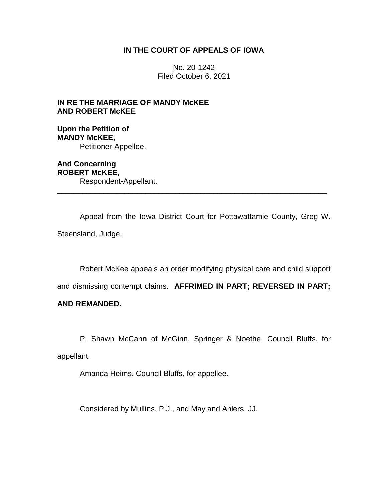# **IN THE COURT OF APPEALS OF IOWA**

No. 20-1242 Filed October 6, 2021

**IN RE THE MARRIAGE OF MANDY McKEE AND ROBERT McKEE**

**Upon the Petition of MANDY McKEE,** Petitioner-Appellee,

**And Concerning ROBERT McKEE,** Respondent-Appellant. \_\_\_\_\_\_\_\_\_\_\_\_\_\_\_\_\_\_\_\_\_\_\_\_\_\_\_\_\_\_\_\_\_\_\_\_\_\_\_\_\_\_\_\_\_\_\_\_\_\_\_\_\_\_\_\_\_\_\_\_\_\_\_\_

Appeal from the Iowa District Court for Pottawattamie County, Greg W. Steensland, Judge.

Robert McKee appeals an order modifying physical care and child support

and dismissing contempt claims. **AFFRIMED IN PART; REVERSED IN PART;** 

## **AND REMANDED.**

P. Shawn McCann of McGinn, Springer & Noethe, Council Bluffs, for appellant.

Amanda Heims, Council Bluffs, for appellee.

Considered by Mullins, P.J., and May and Ahlers, JJ.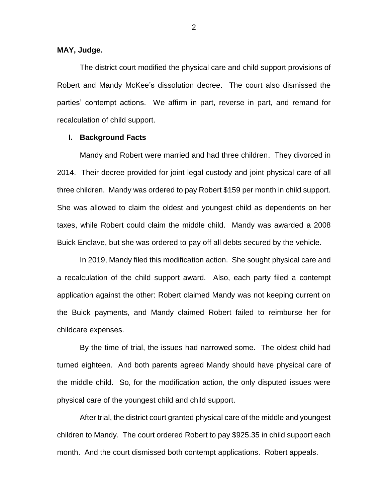#### **MAY, Judge.**

The district court modified the physical care and child support provisions of Robert and Mandy McKee's dissolution decree. The court also dismissed the parties' contempt actions. We affirm in part, reverse in part, and remand for recalculation of child support.

#### **I. Background Facts**

Mandy and Robert were married and had three children. They divorced in 2014. Their decree provided for joint legal custody and joint physical care of all three children. Mandy was ordered to pay Robert \$159 per month in child support. She was allowed to claim the oldest and youngest child as dependents on her taxes, while Robert could claim the middle child. Mandy was awarded a 2008 Buick Enclave, but she was ordered to pay off all debts secured by the vehicle.

In 2019, Mandy filed this modification action. She sought physical care and a recalculation of the child support award. Also, each party filed a contempt application against the other: Robert claimed Mandy was not keeping current on the Buick payments, and Mandy claimed Robert failed to reimburse her for childcare expenses.

By the time of trial, the issues had narrowed some. The oldest child had turned eighteen. And both parents agreed Mandy should have physical care of the middle child. So, for the modification action, the only disputed issues were physical care of the youngest child and child support.

After trial, the district court granted physical care of the middle and youngest children to Mandy. The court ordered Robert to pay \$925.35 in child support each month. And the court dismissed both contempt applications. Robert appeals.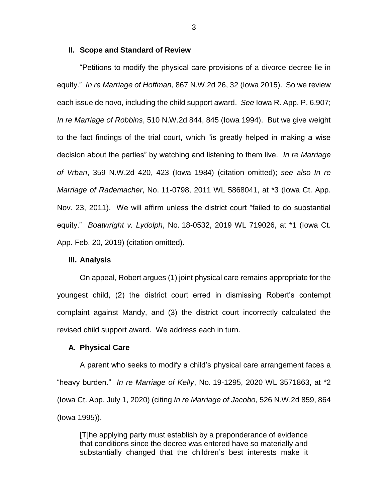#### **II. Scope and Standard of Review**

"Petitions to modify the physical care provisions of a divorce decree lie in equity." *In re Marriage of Hoffman*, 867 N.W.2d 26, 32 (Iowa 2015). So we review each issue de novo, including the child support award. *See* Iowa R. App. P. 6.907; *In re Marriage of Robbins*, 510 N.W.2d 844, 845 (Iowa 1994). But we give weight to the fact findings of the trial court, which "is greatly helped in making a wise decision about the parties" by watching and listening to them live. *In re Marriage of Vrban*, 359 N.W.2d 420, 423 (Iowa 1984) (citation omitted); *see also In re Marriage of Rademacher*, No. 11-0798, 2011 WL 5868041, at \*3 (Iowa Ct. App. Nov. 23, 2011). We will affirm unless the district court "failed to do substantial equity." *Boatwright v. Lydolph*, No. 18-0532, 2019 WL 719026, at \*1 (Iowa Ct. App. Feb. 20, 2019) (citation omitted).

#### **III. Analysis**

On appeal, Robert argues (1) joint physical care remains appropriate for the youngest child, (2) the district court erred in dismissing Robert's contempt complaint against Mandy, and (3) the district court incorrectly calculated the revised child support award. We address each in turn.

#### **A. Physical Care**

A parent who seeks to modify a child's physical care arrangement faces a "heavy burden." *In re Marriage of Kelly*, No. 19-1295, 2020 WL 3571863, at \*2 (Iowa Ct. App. July 1, 2020) (citing *In re Marriage of Jacobo*, 526 N.W.2d 859, 864 (Iowa 1995)).

[T]he applying party must establish by a preponderance of evidence that conditions since the decree was entered have so materially and substantially changed that the children's best interests make it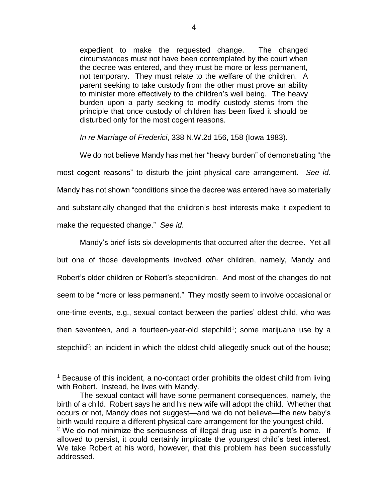expedient to make the requested change. The changed circumstances must not have been contemplated by the court when the decree was entered, and they must be more or less permanent, not temporary. They must relate to the welfare of the children. A parent seeking to take custody from the other must prove an ability to minister more effectively to the children's well being. The heavy burden upon a party seeking to modify custody stems from the principle that once custody of children has been fixed it should be disturbed only for the most cogent reasons.

*In re Marriage of Frederici*, 338 N.W.2d 156, 158 (Iowa 1983).

We do not believe Mandy has met her "heavy burden" of demonstrating "the most cogent reasons" to disturb the joint physical care arrangement. *See id*. Mandy has not shown "conditions since the decree was entered have so materially and substantially changed that the children's best interests make it expedient to make the requested change." *See id*.

Mandy's brief lists six developments that occurred after the decree. Yet all but one of those developments involved *other* children, namely, Mandy and Robert's older children or Robert's stepchildren. And most of the changes do not seem to be "more or less permanent." They mostly seem to involve occasional or one-time events, e.g., sexual contact between the parties' oldest child, who was then seventeen, and a fourteen-year-old stepchild<sup>1</sup>; some marijuana use by a stepchild<sup>2</sup>; an incident in which the oldest child allegedly snuck out of the house;

 $\overline{a}$ 

<sup>&</sup>lt;sup>1</sup> Because of this incident, a no-contact order prohibits the oldest child from living with Robert. Instead, he lives with Mandy.

The sexual contact will have some permanent consequences, namely, the birth of a child. Robert says he and his new wife will adopt the child. Whether that occurs or not, Mandy does not suggest—and we do not believe—the new baby's birth would require a different physical care arrangement for the youngest child. <sup>2</sup> We do not minimize the seriousness of illegal drug use in a parent's home. If allowed to persist, it could certainly implicate the youngest child's best interest. We take Robert at his word, however, that this problem has been successfully addressed.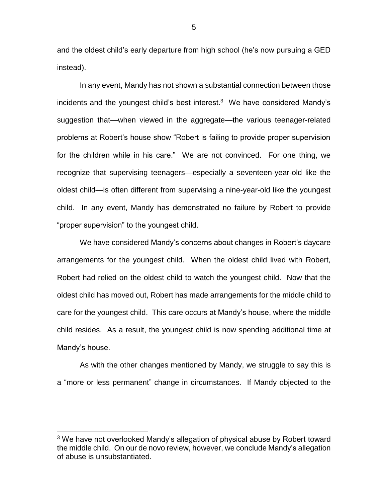and the oldest child's early departure from high school (he's now pursuing a GED instead).

In any event, Mandy has not shown a substantial connection between those incidents and the youngest child's best interest.<sup>3</sup> We have considered Mandy's suggestion that—when viewed in the aggregate—the various teenager-related problems at Robert's house show "Robert is failing to provide proper supervision for the children while in his care." We are not convinced. For one thing, we recognize that supervising teenagers—especially a seventeen-year-old like the oldest child—is often different from supervising a nine-year-old like the youngest child. In any event, Mandy has demonstrated no failure by Robert to provide "proper supervision" to the youngest child.

We have considered Mandy's concerns about changes in Robert's daycare arrangements for the youngest child. When the oldest child lived with Robert, Robert had relied on the oldest child to watch the youngest child. Now that the oldest child has moved out, Robert has made arrangements for the middle child to care for the youngest child. This care occurs at Mandy's house, where the middle child resides. As a result, the youngest child is now spending additional time at Mandy's house.

As with the other changes mentioned by Mandy, we struggle to say this is a "more or less permanent" change in circumstances. If Mandy objected to the

 $\overline{a}$ 

<sup>&</sup>lt;sup>3</sup> We have not overlooked Mandy's allegation of physical abuse by Robert toward the middle child. On our de novo review, however, we conclude Mandy's allegation of abuse is unsubstantiated.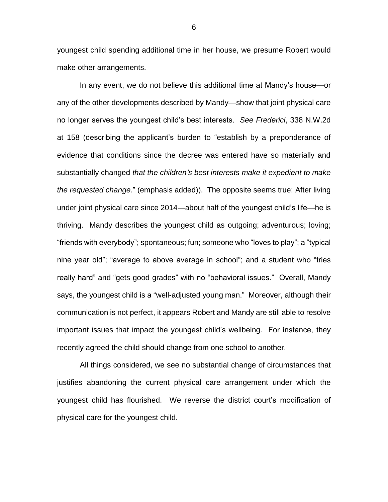youngest child spending additional time in her house, we presume Robert would make other arrangements.

In any event, we do not believe this additional time at Mandy's house—or any of the other developments described by Mandy—show that joint physical care no longer serves the youngest child's best interests. *See Frederici*, 338 N.W.2d at 158 (describing the applicant's burden to "establish by a preponderance of evidence that conditions since the decree was entered have so materially and substantially changed *that the children's best interests make it expedient to make the requested change*." (emphasis added)). The opposite seems true: After living under joint physical care since 2014—about half of the youngest child's life—he is thriving. Mandy describes the youngest child as outgoing; adventurous; loving; "friends with everybody"; spontaneous; fun; someone who "loves to play"; a "typical nine year old"; "average to above average in school"; and a student who "tries really hard" and "gets good grades" with no "behavioral issues." Overall, Mandy says, the youngest child is a "well-adjusted young man." Moreover, although their communication is not perfect, it appears Robert and Mandy are still able to resolve important issues that impact the youngest child's wellbeing. For instance, they recently agreed the child should change from one school to another.

All things considered, we see no substantial change of circumstances that justifies abandoning the current physical care arrangement under which the youngest child has flourished. We reverse the district court's modification of physical care for the youngest child.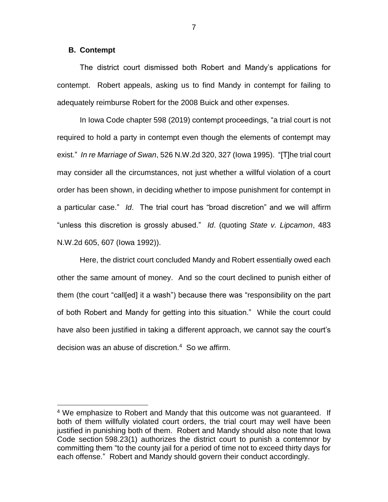#### **B. Contempt**

 $\overline{a}$ 

The district court dismissed both Robert and Mandy's applications for contempt. Robert appeals, asking us to find Mandy in contempt for failing to adequately reimburse Robert for the 2008 Buick and other expenses.

In Iowa Code chapter 598 (2019) contempt proceedings, "a trial court is not required to hold a party in contempt even though the elements of contempt may exist." *In re Marriage of Swan*, 526 N.W.2d 320, 327 (Iowa 1995). "[T]he trial court may consider all the circumstances, not just whether a willful violation of a court order has been shown, in deciding whether to impose punishment for contempt in a particular case." *Id*. The trial court has "broad discretion" and we will affirm "unless this discretion is grossly abused." *Id*. (quoting *State v. Lipcamon*, 483 N.W.2d 605, 607 (Iowa 1992)).

Here, the district court concluded Mandy and Robert essentially owed each other the same amount of money. And so the court declined to punish either of them (the court "call[ed] it a wash") because there was "responsibility on the part of both Robert and Mandy for getting into this situation." While the court could have also been justified in taking a different approach, we cannot say the court's decision was an abuse of discretion. <sup>4</sup> So we affirm.

<sup>&</sup>lt;sup>4</sup> We emphasize to Robert and Mandy that this outcome was not quaranteed. If both of them willfully violated court orders, the trial court may well have been justified in punishing both of them. Robert and Mandy should also note that Iowa Code section 598.23(1) authorizes the district court to punish a contemnor by committing them "to the county jail for a period of time not to exceed thirty days for each offense." Robert and Mandy should govern their conduct accordingly.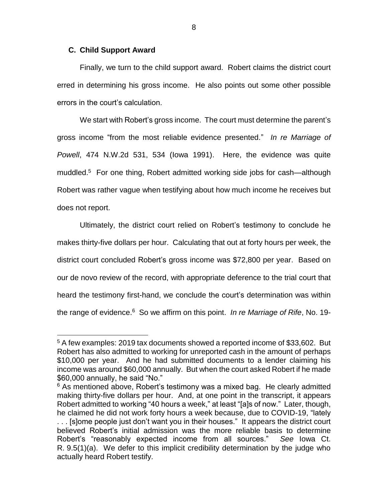## **C. Child Support Award**

 $\overline{a}$ 

Finally, we turn to the child support award. Robert claims the district court erred in determining his gross income. He also points out some other possible errors in the court's calculation.

We start with Robert's gross income. The court must determine the parent's gross income "from the most reliable evidence presented." *In re Marriage of Powell*, 474 N.W.2d 531, 534 (Iowa 1991). Here, the evidence was quite muddled. 5 For one thing, Robert admitted working side jobs for cash—although Robert was rather vague when testifying about how much income he receives but does not report.

Ultimately, the district court relied on Robert's testimony to conclude he makes thirty-five dollars per hour. Calculating that out at forty hours per week, the district court concluded Robert's gross income was \$72,800 per year. Based on our de novo review of the record, with appropriate deference to the trial court that heard the testimony first-hand, we conclude the court's determination was within the range of evidence. 6 So we affirm on this point. *In re Marriage of Rife*, No. 19-

<sup>5</sup> A few examples: 2019 tax documents showed a reported income of \$33,602. But Robert has also admitted to working for unreported cash in the amount of perhaps \$10,000 per year. And he had submitted documents to a lender claiming his income was around \$60,000 annually. But when the court asked Robert if he made \$60,000 annually, he said "No."

 $6$  As mentioned above, Robert's testimony was a mixed bag. He clearly admitted making thirty-five dollars per hour. And, at one point in the transcript, it appears Robert admitted to working "40 hours a week," at least "[a]s of now." Later, though, he claimed he did not work forty hours a week because, due to COVID-19, "lately . . . [s]ome people just don't want you in their houses." It appears the district court believed Robert's initial admission was the more reliable basis to determine Robert's "reasonably expected income from all sources." *See* Iowa Ct. R. 9.5(1)(a). We defer to this implicit credibility determination by the judge who actually heard Robert testify.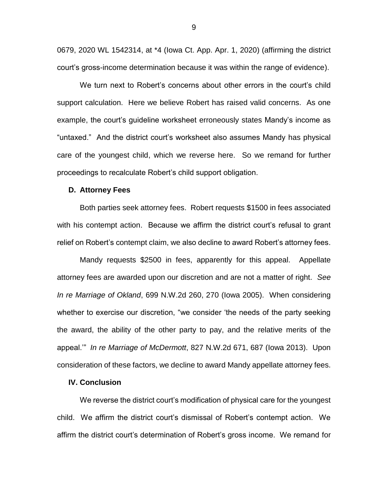0679, 2020 WL 1542314, at \*4 (Iowa Ct. App. Apr. 1, 2020) (affirming the district court's gross-income determination because it was within the range of evidence).

We turn next to Robert's concerns about other errors in the court's child support calculation. Here we believe Robert has raised valid concerns. As one example, the court's guideline worksheet erroneously states Mandy's income as "untaxed." And the district court's worksheet also assumes Mandy has physical care of the youngest child, which we reverse here. So we remand for further proceedings to recalculate Robert's child support obligation.

#### **D. Attorney Fees**

Both parties seek attorney fees. Robert requests \$1500 in fees associated with his contempt action. Because we affirm the district court's refusal to grant relief on Robert's contempt claim, we also decline to award Robert's attorney fees.

Mandy requests \$2500 in fees, apparently for this appeal. Appellate attorney fees are awarded upon our discretion and are not a matter of right. *See In re Marriage of Okland*, 699 N.W.2d 260, 270 (Iowa 2005). When considering whether to exercise our discretion, "we consider 'the needs of the party seeking the award, the ability of the other party to pay, and the relative merits of the appeal.'" *In re Marriage of McDermott*, 827 N.W.2d 671, 687 (Iowa 2013). Upon consideration of these factors, we decline to award Mandy appellate attorney fees.

## **IV. Conclusion**

We reverse the district court's modification of physical care for the youngest child. We affirm the district court's dismissal of Robert's contempt action. We affirm the district court's determination of Robert's gross income. We remand for